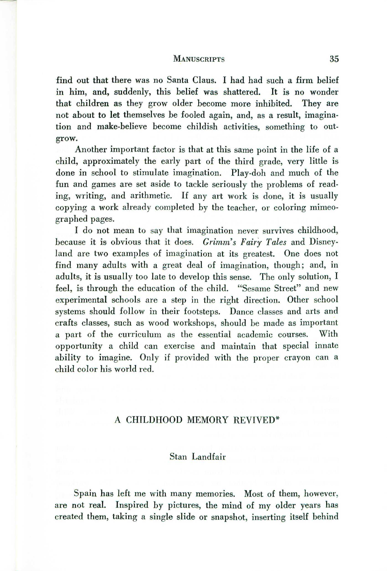#### MANUSCRIPTS 35

find out that there was no Santa Claus. I had had such a firm belief in him, and, suddenly, this belief was shattered. It is no wonder that children as they grow older become more inhibited. They are not about to let themselves be fooled again, and, as a result, imagination and make-believe become childish activities, something to outgrow.

Another important factor is that at this same point in the life of a child, approximately the early part of the third grade, very little is done in school to stimulate imagination. Play-doh and much of the fun and games are set aside to tackle seriously the problems of reading, writing, and arithmetic. If any art work is done, it is usually copying a work already completed by the teacher, or coloring mimeographed pages.

I do not mean to say that imagination never survives childhood, because it is obvious that it does. *Grimm's Fairy Tales* and Disneyland are two examples of imagination at its greatest. One does not find many adults with a great deal of imagination, though; and, in adults, it is usually too late to develop this sense. The only solution, I feel, is through the education of the child. "Sesame Street" and new experimental schools are a step in the right direction. Other school systems should follow in their footsteps. Dance classes and arts and crafts classes, such as wood workshops, should be made as important a part of the curriculum as the essential academic courses. With opportunity a child can exercise and maintain that special innate ability to imagine. Only if provided with the proper crayon can a child color his world red.

## A CHILDHOOD MEMORY REVIVED\*

## Stan Landfair

Spain has left me with many memories. Most of them, however, are not real. Inspired by pictures, the mind of my older years has created them, taking a single slide or snapshot, inserting itself behind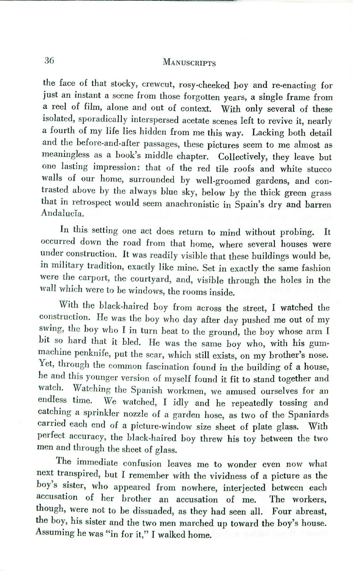# 36 MANUSCRIPTS

the face of that stocky, crewcut, rosy-cheeked hoy and re-enacting for just an instant a scene from those forgotten years, a single frame from a reel of film, alone and out of context. With only several of these isolated, sporadically interspersed acetate scenes left to revive it, nearly a fourth of my life lies hidden from me this way- Lacking both detail and the before-and-after passages, these pictures seem to me almost as meaningless as a hook's middle chapter. Collectively, they leave but one lasting impression: that of the red tile roofs and white stucco walls of our home, surrounded hy well-groomed gardens, and contrasted above by the always blue sky, below by the thick green grass that in retrospect would seem anachronistic in Spain's dry and barren Andalucia.

In this setting one act does return to mind without probing. It occurred down the road from that home, where several houses were under construction. It was readily visible that these buildings would be, in military tradition, exactly like mine. Set in exactly the same fashion were the carport, the courtyard, and, visible through the holes in the wall which were to be windows, the rooms inside.

With the black-haired boy from across the street, I watched the construction. He was the boy who day after day pushed me out of my swing, the boy who I in turn heat to the ground, the boy whose arm I bit so hard that it bled. He was the same boy who, with his gummachine penknife, put the scar, which still exists, on my brother's nose. Yet, through the common fascination found in the building of a house, he and this younger version of myself found it fit to stand together and watch. Watching the Spanish workmen, we amused ourselves for an endless time. We watched I idly and he repeatedly tossing and We watched, I idly and he repeatedly tossing and catching a sprinkler nozzle of a garden hose, as two of the Spaniards carried each end of a picture-window size sheet of plate glass. With perfect accuracy, the black-haired boy threw his toy between the two men and through the sheet of glass.

The immediate confusion leaves me to wonder even now what next transpired, but I remember with the vividness of a picture as the boy's sister, who appeared from nowhere, interjected between each accusation of her brother an accusation of me. The workers, though, were not to be dissuaded, as they had seen all. Four abreast, the boy, his sister and the two men marched up toward the hoy's house. Assuming he was "in for it," I walked home.